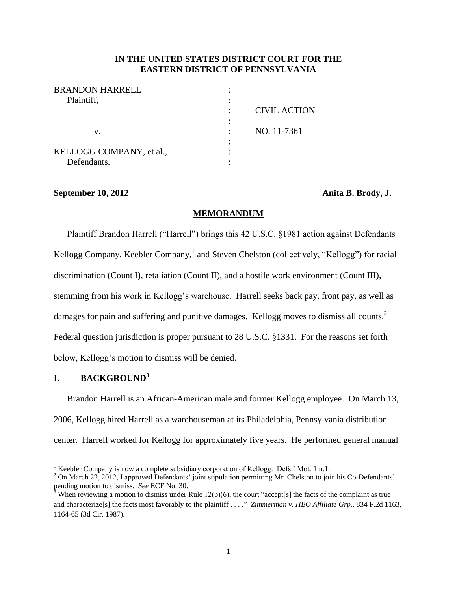## **IN THE UNITED STATES DISTRICT COURT FOR THE EASTERN DISTRICT OF PENNSYLVANIA**

| <b>BRANDON HARRELL</b>   |                     |
|--------------------------|---------------------|
| Plaintiff,               |                     |
|                          | <b>CIVIL ACTION</b> |
|                          |                     |
| v.                       | NO. 11-7361         |
|                          |                     |
| KELLOGG COMPANY, et al., |                     |
| Defendants.              |                     |

#### **September 10, 2012 Anita B. Brody, J.**

## **MEMORANDUM**

Plaintiff Brandon Harrell ("Harrell") brings this 42 U.S.C. §1981 action against Defendants Kellogg Company, Keebler Company,<sup>1</sup> and Steven Chelston (collectively, "Kellogg") for racial discrimination (Count I), retaliation (Count II), and a hostile work environment (Count III), stemming from his work in Kellogg's warehouse. Harrell seeks back pay, front pay, as well as damages for pain and suffering and punitive damages. Kellogg moves to dismiss all counts.<sup>2</sup> Federal question jurisdiction is proper pursuant to 28 U.S.C. §1331. For the reasons set forth below, Kellogg's motion to dismiss will be denied.

# **I. BACKGROUND<sup>3</sup>**

 $\overline{a}$ 

Brandon Harrell is an African-American male and former Kellogg employee. On March 13, 2006, Kellogg hired Harrell as a warehouseman at its Philadelphia, Pennsylvania distribution center. Harrell worked for Kellogg for approximately five years. He performed general manual

<sup>&</sup>lt;sup>1</sup> Keebler Company is now a complete subsidiary corporation of Kellogg. Defs.' Mot. 1 n.1.

<sup>&</sup>lt;sup>2</sup> On March 22, 2012, I approved Defendants' joint stipulation permitting Mr. Chelston to join his Co-Defendants' pending motion to dismiss. *See* ECF No. 30.

<sup>&</sup>lt;sup>3</sup> When reviewing a motion to dismiss under Rule 12(b)(6), the court "accept[s] the facts of the complaint as true and characterize[s] the facts most favorably to the plaintiff . . . ." *Zimmerman v. HBO Affiliate Grp.*, 834 F.2d 1163, 1164-65 (3d Cir. 1987).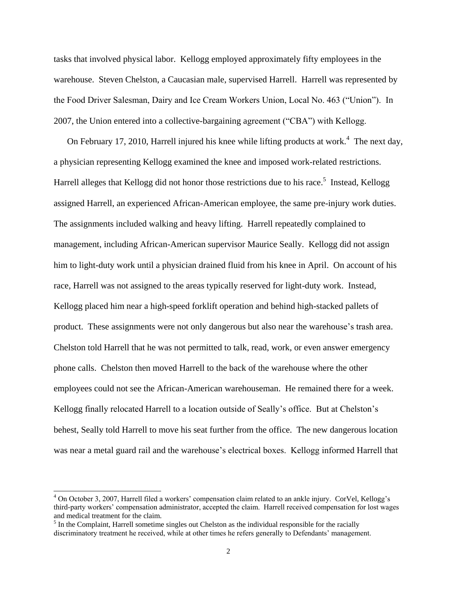tasks that involved physical labor. Kellogg employed approximately fifty employees in the warehouse. Steven Chelston, a Caucasian male, supervised Harrell. Harrell was represented by the Food Driver Salesman, Dairy and Ice Cream Workers Union, Local No. 463 ("Union"). In 2007, the Union entered into a collective-bargaining agreement ("CBA") with Kellogg.

On February 17, 2010, Harrell injured his knee while lifting products at work.<sup>4</sup> The next day, a physician representing Kellogg examined the knee and imposed work-related restrictions. Harrell alleges that Kellogg did not honor those restrictions due to his race.<sup>5</sup> Instead, Kellogg assigned Harrell, an experienced African-American employee, the same pre-injury work duties. The assignments included walking and heavy lifting. Harrell repeatedly complained to management, including African-American supervisor Maurice Seally. Kellogg did not assign him to light-duty work until a physician drained fluid from his knee in April. On account of his race, Harrell was not assigned to the areas typically reserved for light-duty work. Instead, Kellogg placed him near a high-speed forklift operation and behind high-stacked pallets of product. These assignments were not only dangerous but also near the warehouse's trash area. Chelston told Harrell that he was not permitted to talk, read, work, or even answer emergency phone calls. Chelston then moved Harrell to the back of the warehouse where the other employees could not see the African-American warehouseman. He remained there for a week. Kellogg finally relocated Harrell to a location outside of Seally's office. But at Chelston's behest, Seally told Harrell to move his seat further from the office. The new dangerous location was near a metal guard rail and the warehouse's electrical boxes. Kellogg informed Harrell that

 $\overline{a}$ 

<sup>4</sup> On October 3, 2007, Harrell filed a workers' compensation claim related to an ankle injury. CorVel, Kellogg's third-party workers' compensation administrator, accepted the claim. Harrell received compensation for lost wages and medical treatment for the claim.

 $<sup>5</sup>$  In the Complaint, Harrell sometime singles out Chelston as the individual responsible for the racially</sup> discriminatory treatment he received, while at other times he refers generally to Defendants' management.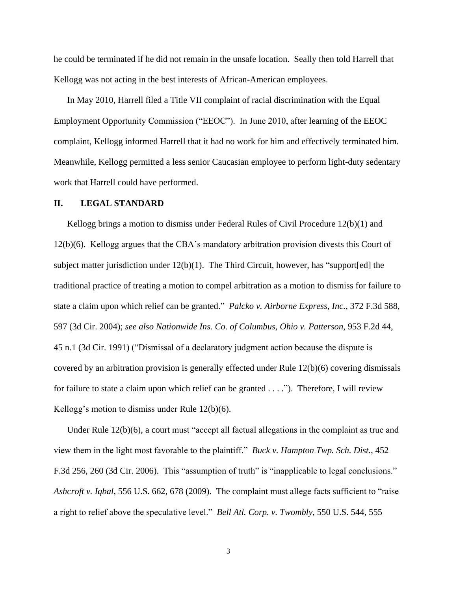he could be terminated if he did not remain in the unsafe location. Seally then told Harrell that Kellogg was not acting in the best interests of African-American employees.

In May 2010, Harrell filed a Title VII complaint of racial discrimination with the Equal Employment Opportunity Commission ("EEOC"). In June 2010, after learning of the EEOC complaint, Kellogg informed Harrell that it had no work for him and effectively terminated him. Meanwhile, Kellogg permitted a less senior Caucasian employee to perform light-duty sedentary work that Harrell could have performed.

#### **II. LEGAL STANDARD**

Kellogg brings a motion to dismiss under Federal Rules of Civil Procedure 12(b)(1) and 12(b)(6). Kellogg argues that the CBA's mandatory arbitration provision divests this Court of subject matter jurisdiction under  $12(b)(1)$ . The Third Circuit, however, has "support[ed] the traditional practice of treating a motion to compel arbitration as a motion to dismiss for failure to state a claim upon which relief can be granted." *Palcko v. Airborne Express, Inc.*, 372 F.3d 588, 597 (3d Cir. 2004); *see also Nationwide Ins. Co. of Columbus, Ohio v. Patterson*, 953 F.2d 44, 45 n.1 (3d Cir. 1991) ("Dismissal of a declaratory judgment action because the dispute is covered by an arbitration provision is generally effected under Rule 12(b)(6) covering dismissals for failure to state a claim upon which relief can be granted . . . ."). Therefore, I will review Kellogg's motion to dismiss under Rule 12(b)(6).

Under Rule 12(b)(6), a court must "accept all factual allegations in the complaint as true and view them in the light most favorable to the plaintiff." *Buck v. Hampton Twp. Sch. Dist.*, 452 F.3d 256, 260 (3d Cir. 2006). This "assumption of truth" is "inapplicable to legal conclusions." *Ashcroft v. Iqbal*, 556 U.S. 662, 678 (2009).The complaint must allege facts sufficient to "raise a right to relief above the speculative level." *Bell Atl. Corp. v. Twombly*, 550 U.S. 544, 555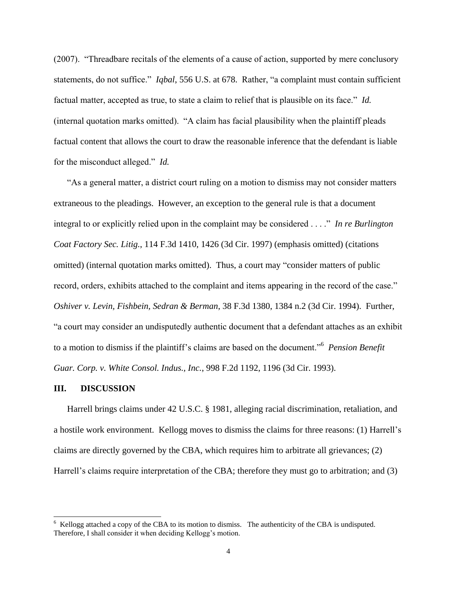(2007). "Threadbare recitals of the elements of a cause of action, supported by mere conclusory statements, do not suffice." *Iqbal*, 556 U.S. at 678. Rather, "a complaint must contain sufficient factual matter, accepted as true, to state a claim to relief that is plausible on its face." *Id.* (internal quotation marks omitted). "A claim has facial plausibility when the plaintiff pleads factual content that allows the court to draw the reasonable inference that the defendant is liable for the misconduct alleged." *Id.*

"As a general matter, a district court ruling on a motion to dismiss may not consider matters extraneous to the pleadings. However, an exception to the general rule is that a document integral to or explicitly relied upon in the complaint may be considered . . . ." *In re Burlington Coat Factory Sec. Litig.*, 114 F.3d 1410, 1426 (3d Cir. 1997) (emphasis omitted) (citations omitted) (internal quotation marks omitted). Thus, a court may "consider matters of public record, orders, exhibits attached to the complaint and items appearing in the record of the case." *Oshiver v. Levin, Fishbein, Sedran & Berman*, 38 F.3d 1380, 1384 n.2 (3d Cir. 1994). Further, "a court may consider an undisputedly authentic document that a defendant attaches as an exhibit to a motion to dismiss if the plaintiff's claims are based on the document."<sup>6</sup> *Pension Benefit Guar. Corp. v. White Consol. Indus., Inc.*, 998 F.2d 1192, 1196 (3d Cir. 1993).

#### **III. DISCUSSION**

 $\overline{a}$ 

Harrell brings claims under 42 U.S.C. § 1981, alleging racial discrimination, retaliation, and a hostile work environment. Kellogg moves to dismiss the claims for three reasons: (1) Harrell's claims are directly governed by the CBA, which requires him to arbitrate all grievances; (2) Harrell's claims require interpretation of the CBA; therefore they must go to arbitration; and (3)

<sup>&</sup>lt;sup>6</sup> Kellogg attached a copy of the CBA to its motion to dismiss. The authenticity of the CBA is undisputed. Therefore, I shall consider it when deciding Kellogg's motion.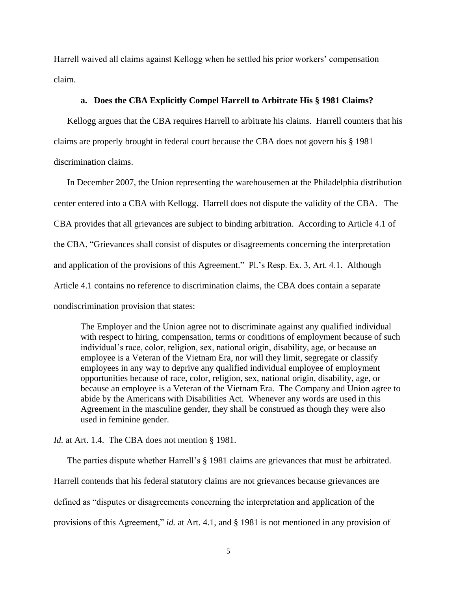Harrell waived all claims against Kellogg when he settled his prior workers' compensation claim.

#### **a. Does the CBA Explicitly Compel Harrell to Arbitrate His § 1981 Claims?**

Kellogg argues that the CBA requires Harrell to arbitrate his claims. Harrell counters that his claims are properly brought in federal court because the CBA does not govern his § 1981 discrimination claims.

In December 2007, the Union representing the warehousemen at the Philadelphia distribution center entered into a CBA with Kellogg. Harrell does not dispute the validity of the CBA. The CBA provides that all grievances are subject to binding arbitration. According to Article 4.1 of the CBA, "Grievances shall consist of disputes or disagreements concerning the interpretation and application of the provisions of this Agreement." Pl.'s Resp. Ex. 3, Art. 4.1. Although Article 4.1 contains no reference to discrimination claims, the CBA does contain a separate nondiscrimination provision that states:

The Employer and the Union agree not to discriminate against any qualified individual with respect to hiring, compensation, terms or conditions of employment because of such individual's race, color, religion, sex, national origin, disability, age, or because an employee is a Veteran of the Vietnam Era, nor will they limit, segregate or classify employees in any way to deprive any qualified individual employee of employment opportunities because of race, color, religion, sex, national origin, disability, age, or because an employee is a Veteran of the Vietnam Era. The Company and Union agree to abide by the Americans with Disabilities Act. Whenever any words are used in this Agreement in the masculine gender, they shall be construed as though they were also used in feminine gender.

*Id.* at Art. 1.4. The CBA does not mention § 1981.

The parties dispute whether Harrell's § 1981 claims are grievances that must be arbitrated. Harrell contends that his federal statutory claims are not grievances because grievances are defined as "disputes or disagreements concerning the interpretation and application of the provisions of this Agreement," *id.* at Art. 4.1, and § 1981 is not mentioned in any provision of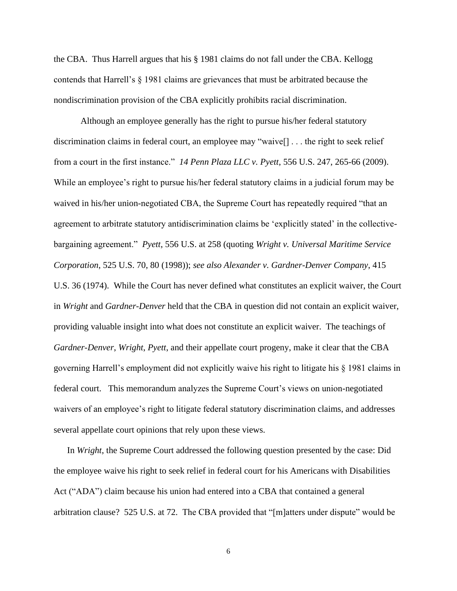the CBA. Thus Harrell argues that his § 1981 claims do not fall under the CBA. Kellogg contends that Harrell's § 1981 claims are grievances that must be arbitrated because the nondiscrimination provision of the CBA explicitly prohibits racial discrimination.

Although an employee generally has the right to pursue his/her federal statutory discrimination claims in federal court, an employee may "waive[] . . . the right to seek relief from a court in the first instance." *14 Penn Plaza LLC v. Pyett*, 556 U.S. 247, 265-66 (2009). While an employee's right to pursue his/her federal statutory claims in a judicial forum may be waived in his/her union-negotiated CBA, the Supreme Court has repeatedly required "that an agreement to arbitrate statutory antidiscrimination claims be 'explicitly stated' in the collectivebargaining agreement." *Pyett*, 556 U.S. at 258 (quoting *Wright v. Universal Maritime Service Corporation*, 525 U.S. 70, 80 (1998)); *see also Alexander v. Gardner-Denver Company*, 415 U.S. 36 (1974). While the Court has never defined what constitutes an explicit waiver, the Court in *Wright* and *Gardner-Denver* held that the CBA in question did not contain an explicit waiver, providing valuable insight into what does not constitute an explicit waiver. The teachings of *Gardner-Denver*, *Wright*, *Pyett*, and their appellate court progeny, make it clear that the CBA governing Harrell's employment did not explicitly waive his right to litigate his § 1981 claims in federal court. This memorandum analyzes the Supreme Court's views on union-negotiated waivers of an employee's right to litigate federal statutory discrimination claims, and addresses several appellate court opinions that rely upon these views.

In *Wright*, the Supreme Court addressed the following question presented by the case: Did the employee waive his right to seek relief in federal court for his Americans with Disabilities Act ("ADA") claim because his union had entered into a CBA that contained a general arbitration clause? 525 U.S. at 72. The CBA provided that "[m]atters under dispute" would be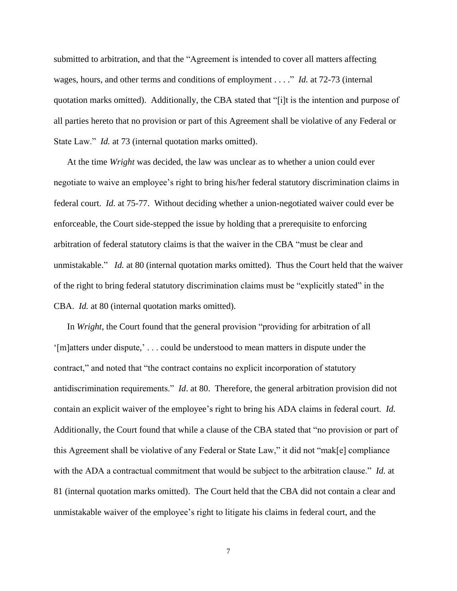submitted to arbitration, and that the "Agreement is intended to cover all matters affecting wages, hours, and other terms and conditions of employment . . . ." *Id.* at 72-73 (internal quotation marks omitted). Additionally, the CBA stated that "[i]t is the intention and purpose of all parties hereto that no provision or part of this Agreement shall be violative of any Federal or State Law." *Id.* at 73 (internal quotation marks omitted).

At the time *Wright* was decided, the law was unclear as to whether a union could ever negotiate to waive an employee's right to bring his/her federal statutory discrimination claims in federal court. *Id.* at 75-77. Without deciding whether a union-negotiated waiver could ever be enforceable, the Court side-stepped the issue by holding that a prerequisite to enforcing arbitration of federal statutory claims is that the waiver in the CBA "must be clear and unmistakable." *Id.* at 80 (internal quotation marks omitted). Thus the Court held that the waiver of the right to bring federal statutory discrimination claims must be "explicitly stated" in the CBA. *Id.* at 80 (internal quotation marks omitted).

In *Wright*, the Court found that the general provision "providing for arbitration of all '[m]atters under dispute,' . . . could be understood to mean matters in dispute under the contract," and noted that "the contract contains no explicit incorporation of statutory antidiscrimination requirements." *Id*. at 80. Therefore, the general arbitration provision did not contain an explicit waiver of the employee's right to bring his ADA claims in federal court. *Id.*  Additionally, the Court found that while a clause of the CBA stated that "no provision or part of this Agreement shall be violative of any Federal or State Law," it did not "mak[e] compliance with the ADA a contractual commitment that would be subject to the arbitration clause." *Id.* at 81 (internal quotation marks omitted). The Court held that the CBA did not contain a clear and unmistakable waiver of the employee's right to litigate his claims in federal court, and the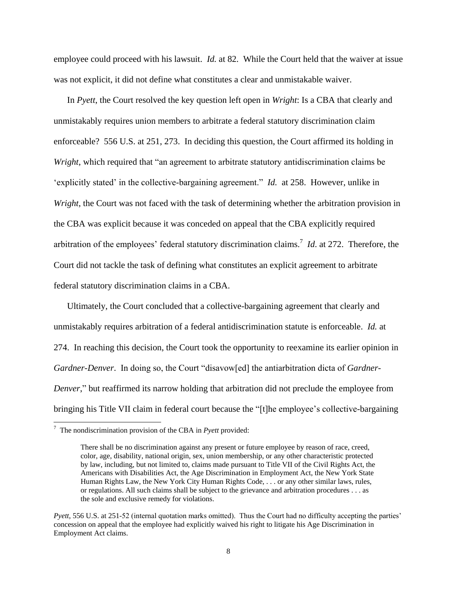employee could proceed with his lawsuit. *Id.* at 82. While the Court held that the waiver at issue was not explicit, it did not define what constitutes a clear and unmistakable waiver.

In *Pyett*, the Court resolved the key question left open in *Wright*: Is a CBA that clearly and unmistakably requires union members to arbitrate a federal statutory discrimination claim enforceable? 556 U.S. at 251, 273. In deciding this question, the Court affirmed its holding in *Wright*, which required that "an agreement to arbitrate statutory antidiscrimination claims be 'explicitly stated' in the collective-bargaining agreement." *Id.* at 258. However, unlike in *Wright*, the Court was not faced with the task of determining whether the arbitration provision in the CBA was explicit because it was conceded on appeal that the CBA explicitly required arbitration of the employees' federal statutory discrimination claims.<sup>7</sup> *Id*. at 272. Therefore, the Court did not tackle the task of defining what constitutes an explicit agreement to arbitrate federal statutory discrimination claims in a CBA.

Ultimately, the Court concluded that a collective-bargaining agreement that clearly and unmistakably requires arbitration of a federal antidiscrimination statute is enforceable. *Id.* at 274. In reaching this decision, the Court took the opportunity to reexamine its earlier opinion in *Gardner-Denver*. In doing so, the Court "disavow[ed] the antiarbitration dicta of *Gardner-Denver*," but reaffirmed its narrow holding that arbitration did not preclude the employee from bringing his Title VII claim in federal court because the "[t]he employee's collective-bargaining

 7 The nondiscrimination provision of the CBA in *Pyett* provided:

There shall be no discrimination against any present or future employee by reason of race, creed, color, age, disability, national origin, sex, union membership, or any other characteristic protected by law, including, but not limited to, claims made pursuant to Title VII of the Civil Rights Act, the Americans with Disabilities Act, the Age Discrimination in Employment Act, the New York State Human Rights Law, the New York City Human Rights Code, . . . or any other similar laws, rules, or regulations. All such claims shall be subject to the grievance and arbitration procedures . . . as the sole and exclusive remedy for violations.

*Pyett*, 556 U.S. at 251-52 (internal quotation marks omitted). Thus the Court had no difficulty accepting the parties' concession on appeal that the employee had explicitly waived his right to litigate his Age Discrimination in Employment Act claims.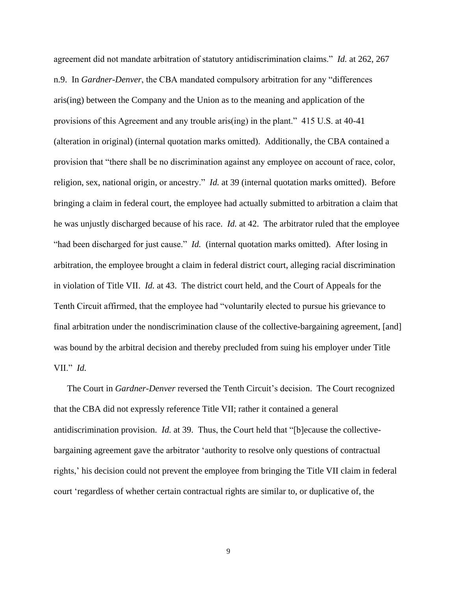agreement did not mandate arbitration of statutory antidiscrimination claims." *Id.* at 262, 267 n.9. In *Gardner-Denver*, the CBA mandated compulsory arbitration for any "differences aris(ing) between the Company and the Union as to the meaning and application of the provisions of this Agreement and any trouble aris(ing) in the plant." 415 U.S. at 40-41 (alteration in original) (internal quotation marks omitted). Additionally, the CBA contained a provision that "there shall be no discrimination against any employee on account of race, color, religion, sex, national origin, or ancestry." *Id.* at 39 (internal quotation marks omitted). Before bringing a claim in federal court, the employee had actually submitted to arbitration a claim that he was unjustly discharged because of his race. *Id.* at 42. The arbitrator ruled that the employee "had been discharged for just cause." *Id.* (internal quotation marks omitted). After losing in arbitration, the employee brought a claim in federal district court, alleging racial discrimination in violation of Title VII. *Id.* at 43. The district court held, and the Court of Appeals for the Tenth Circuit affirmed, that the employee had "voluntarily elected to pursue his grievance to final arbitration under the nondiscrimination clause of the collective-bargaining agreement, [and] was bound by the arbitral decision and thereby precluded from suing his employer under Title VII." *Id.* 

The Court in *Gardner-Denver* reversed the Tenth Circuit's decision. The Court recognized that the CBA did not expressly reference Title VII; rather it contained a general antidiscrimination provision. *Id.* at 39. Thus, the Court held that "[b]ecause the collectivebargaining agreement gave the arbitrator 'authority to resolve only questions of contractual rights,' his decision could not prevent the employee from bringing the Title VII claim in federal court 'regardless of whether certain contractual rights are similar to, or duplicative of, the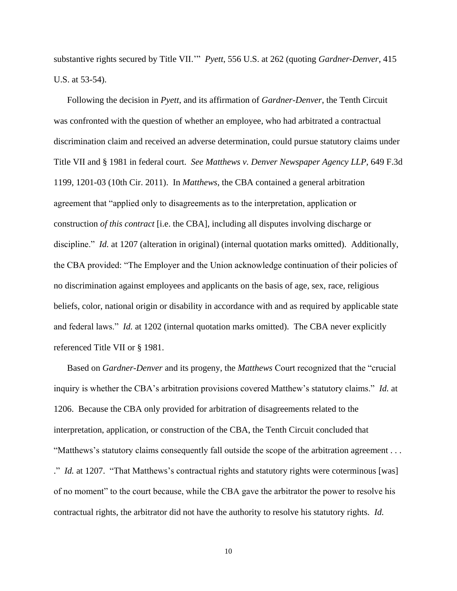substantive rights secured by Title VII.'" *Pyett*, 556 U.S. at 262 (quoting *Gardner-Denver*, 415 U.S. at 53-54).

Following the decision in *Pyett*, and its affirmation of *Gardner-Denver*, the Tenth Circuit was confronted with the question of whether an employee, who had arbitrated a contractual discrimination claim and received an adverse determination, could pursue statutory claims under Title VII and § 1981 in federal court. *See Matthews v. Denver Newspaper Agency LLP*, 649 F.3d 1199, 1201-03 (10th Cir. 2011). In *Matthews*, the CBA contained a general arbitration agreement that "applied only to disagreements as to the interpretation, application or construction *of this contract* [i.e. the CBA], including all disputes involving discharge or discipline." *Id.* at 1207 (alteration in original) (internal quotation marks omitted). Additionally, the CBA provided: "The Employer and the Union acknowledge continuation of their policies of no discrimination against employees and applicants on the basis of age, sex, race, religious beliefs, color, national origin or disability in accordance with and as required by applicable state and federal laws." *Id.* at 1202 (internal quotation marks omitted). The CBA never explicitly referenced Title VII or § 1981.

Based on *Gardner-Denver* and its progeny, the *Matthews* Court recognized that the "crucial inquiry is whether the CBA's arbitration provisions covered Matthew's statutory claims." *Id.* at 1206. Because the CBA only provided for arbitration of disagreements related to the interpretation, application, or construction of the CBA, the Tenth Circuit concluded that "Matthews's statutory claims consequently fall outside the scope of the arbitration agreement . . . ." *Id.* at 1207. "That Matthews's contractual rights and statutory rights were coterminous [was] of no moment" to the court because, while the CBA gave the arbitrator the power to resolve his contractual rights, the arbitrator did not have the authority to resolve his statutory rights. *Id.*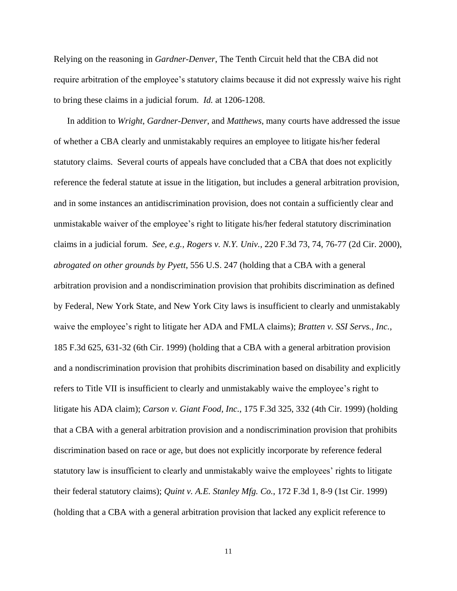Relying on the reasoning in *Gardner-Denver*, The Tenth Circuit held that the CBA did not require arbitration of the employee's statutory claims because it did not expressly waive his right to bring these claims in a judicial forum. *Id.* at 1206-1208.

In addition to *Wright*, *Gardner-Denver*, and *Matthews*, many courts have addressed the issue of whether a CBA clearly and unmistakably requires an employee to litigate his/her federal statutory claims. Several courts of appeals have concluded that a CBA that does not explicitly reference the federal statute at issue in the litigation, but includes a general arbitration provision, and in some instances an antidiscrimination provision, does not contain a sufficiently clear and unmistakable waiver of the employee's right to litigate his/her federal statutory discrimination claims in a judicial forum. *See, e.g., Rogers v. N.Y. Univ.*, 220 F.3d 73, 74, 76-77 (2d Cir. 2000), *abrogated on other grounds by Pyett*, 556 U.S. 247 (holding that a CBA with a general arbitration provision and a nondiscrimination provision that prohibits discrimination as defined by Federal, New York State, and New York City laws is insufficient to clearly and unmistakably waive the employee's right to litigate her ADA and FMLA claims); *Bratten v. SSI Servs., Inc.*, 185 F.3d 625, 631-32 (6th Cir. 1999) (holding that a CBA with a general arbitration provision and a nondiscrimination provision that prohibits discrimination based on disability and explicitly refers to Title VII is insufficient to clearly and unmistakably waive the employee's right to litigate his ADA claim); *Carson v. Giant Food, Inc.*, 175 F.3d 325, 332 (4th Cir. 1999) (holding that a CBA with a general arbitration provision and a nondiscrimination provision that prohibits discrimination based on race or age, but does not explicitly incorporate by reference federal statutory law is insufficient to clearly and unmistakably waive the employees' rights to litigate their federal statutory claims); *Quint v. A.E. Stanley Mfg. Co.*, 172 F.3d 1, 8-9 (1st Cir. 1999) (holding that a CBA with a general arbitration provision that lacked any explicit reference to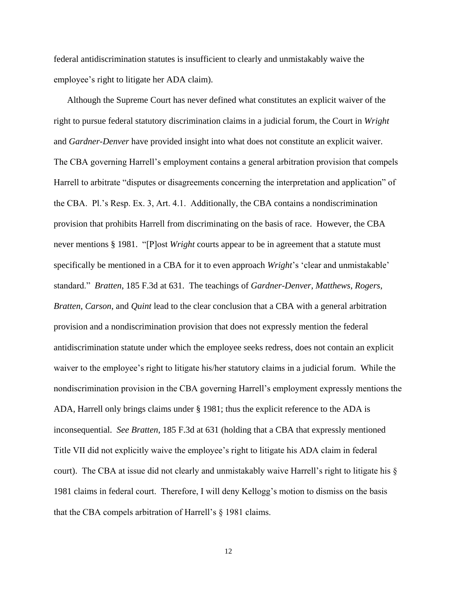federal antidiscrimination statutes is insufficient to clearly and unmistakably waive the employee's right to litigate her ADA claim).

Although the Supreme Court has never defined what constitutes an explicit waiver of the right to pursue federal statutory discrimination claims in a judicial forum, the Court in *Wright*  and *Gardner-Denver* have provided insight into what does not constitute an explicit waiver. The CBA governing Harrell's employment contains a general arbitration provision that compels Harrell to arbitrate "disputes or disagreements concerning the interpretation and application" of the CBA. Pl.'s Resp. Ex. 3, Art. 4.1. Additionally, the CBA contains a nondiscrimination provision that prohibits Harrell from discriminating on the basis of race. However, the CBA never mentions § 1981. "[P]ost *Wright* courts appear to be in agreement that a statute must specifically be mentioned in a CBA for it to even approach *Wright*'s 'clear and unmistakable' standard." *Bratten*, 185 F.3d at 631. The teachings of *Gardner-Denver*, *Matthews*, *Rogers*, *Bratten*, *Carson*, and *Quint* lead to the clear conclusion that a CBA with a general arbitration provision and a nondiscrimination provision that does not expressly mention the federal antidiscrimination statute under which the employee seeks redress, does not contain an explicit waiver to the employee's right to litigate his/her statutory claims in a judicial forum. While the nondiscrimination provision in the CBA governing Harrell's employment expressly mentions the ADA, Harrell only brings claims under § 1981; thus the explicit reference to the ADA is inconsequential. *See Bratten*, 185 F.3d at 631 (holding that a CBA that expressly mentioned Title VII did not explicitly waive the employee's right to litigate his ADA claim in federal court). The CBA at issue did not clearly and unmistakably waive Harrell's right to litigate his § 1981 claims in federal court. Therefore, I will deny Kellogg's motion to dismiss on the basis that the CBA compels arbitration of Harrell's § 1981 claims.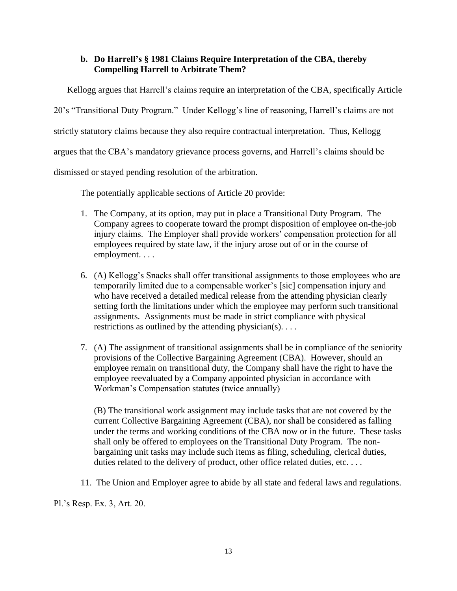# **b. Do Harrell's § 1981 Claims Require Interpretation of the CBA, thereby Compelling Harrell to Arbitrate Them?**

Kellogg argues that Harrell's claims require an interpretation of the CBA, specifically Article 20's "Transitional Duty Program." Under Kellogg's line of reasoning, Harrell's claims are not strictly statutory claims because they also require contractual interpretation. Thus, Kellogg argues that the CBA's mandatory grievance process governs, and Harrell's claims should be dismissed or stayed pending resolution of the arbitration.

The potentially applicable sections of Article 20 provide:

- 1. The Company, at its option, may put in place a Transitional Duty Program. The Company agrees to cooperate toward the prompt disposition of employee on-the-job injury claims. The Employer shall provide workers' compensation protection for all employees required by state law, if the injury arose out of or in the course of employment. . . .
- 6. (A) Kellogg's Snacks shall offer transitional assignments to those employees who are temporarily limited due to a compensable worker's [sic] compensation injury and who have received a detailed medical release from the attending physician clearly setting forth the limitations under which the employee may perform such transitional assignments. Assignments must be made in strict compliance with physical restrictions as outlined by the attending physician(s). . . .
- 7. (A) The assignment of transitional assignments shall be in compliance of the seniority provisions of the Collective Bargaining Agreement (CBA). However, should an employee remain on transitional duty, the Company shall have the right to have the employee reevaluated by a Company appointed physician in accordance with Workman's Compensation statutes (twice annually)

(B) The transitional work assignment may include tasks that are not covered by the current Collective Bargaining Agreement (CBA), nor shall be considered as falling under the terms and working conditions of the CBA now or in the future. These tasks shall only be offered to employees on the Transitional Duty Program. The nonbargaining unit tasks may include such items as filing, scheduling, clerical duties, duties related to the delivery of product, other office related duties, etc. . . .

11. The Union and Employer agree to abide by all state and federal laws and regulations.

Pl.'s Resp. Ex. 3, Art. 20.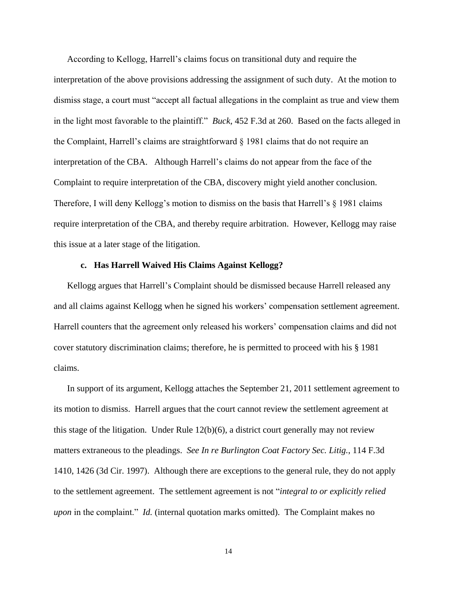According to Kellogg, Harrell's claims focus on transitional duty and require the interpretation of the above provisions addressing the assignment of such duty. At the motion to dismiss stage, a court must "accept all factual allegations in the complaint as true and view them in the light most favorable to the plaintiff." *Buck*, 452 F.3d at 260. Based on the facts alleged in the Complaint, Harrell's claims are straightforward § 1981 claims that do not require an interpretation of the CBA. Although Harrell's claims do not appear from the face of the Complaint to require interpretation of the CBA, discovery might yield another conclusion. Therefore, I will deny Kellogg's motion to dismiss on the basis that Harrell's § 1981 claims require interpretation of the CBA, and thereby require arbitration. However, Kellogg may raise this issue at a later stage of the litigation.

#### **c. Has Harrell Waived His Claims Against Kellogg?**

Kellogg argues that Harrell's Complaint should be dismissed because Harrell released any and all claims against Kellogg when he signed his workers' compensation settlement agreement. Harrell counters that the agreement only released his workers' compensation claims and did not cover statutory discrimination claims; therefore, he is permitted to proceed with his § 1981 claims.

In support of its argument, Kellogg attaches the September 21, 2011 settlement agreement to its motion to dismiss. Harrell argues that the court cannot review the settlement agreement at this stage of the litigation. Under Rule  $12(b)(6)$ , a district court generally may not review matters extraneous to the pleadings. *See In re Burlington Coat Factory Sec. Litig.*, 114 F.3d 1410, 1426 (3d Cir. 1997). Although there are exceptions to the general rule, they do not apply to the settlement agreement. The settlement agreement is not "*integral to or explicitly relied upon* in the complaint." *Id.* (internal quotation marks omitted). The Complaint makes no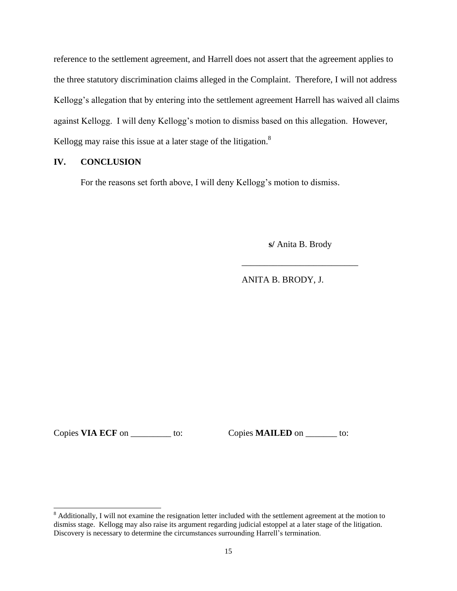reference to the settlement agreement, and Harrell does not assert that the agreement applies to the three statutory discrimination claims alleged in the Complaint. Therefore, I will not address Kellogg's allegation that by entering into the settlement agreement Harrell has waived all claims against Kellogg. I will deny Kellogg's motion to dismiss based on this allegation. However, Kellogg may raise this issue at a later stage of the litigation.<sup>8</sup>

## **IV. CONCLUSION**

For the reasons set forth above, I will deny Kellogg's motion to dismiss.

**s/** Anita B. Brody

\_\_\_\_\_\_\_\_\_\_\_\_\_\_\_\_\_\_\_\_\_\_\_\_\_\_

ANITA B. BRODY, J.

Copies **VIA ECF** on \_\_\_\_\_\_\_\_\_\_ to: Copies **MAILED** on \_\_\_\_\_\_\_ to:

 $\overline{a}$ 

 $8$  Additionally, I will not examine the resignation letter included with the settlement agreement at the motion to dismiss stage. Kellogg may also raise its argument regarding judicial estoppel at a later stage of the litigation. Discovery is necessary to determine the circumstances surrounding Harrell's termination.